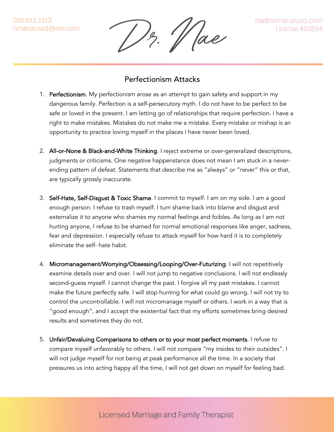310.612.1113 nmacaluso1@me.com

Hae

## Perfectionism Attacks

- 1. Perfectionism. My perfectionism arose as an attempt to gain safety and support in my dangerous family. Perfection is a self-persecutory myth. I do not have to be perfect to be safe or loved in the present. I am letting go of relationships that require perfection. I have a right to make mistakes. Mistakes do not make me a mistake. Every mistake or mishap is an opportunity to practice loving myself in the places I have never been loved.
- 2. All-or-None & Black-and-White Thinking. I reject extreme or over-generalized descriptions, judgments or criticisms. One negative happenstance does not mean I am stuck in a neverending pattern of defeat. Statements that describe me as "always" or "never" this or that, are typically grossly inaccurate.
- 3. Self-Hate, Self-Disgust & Toxic Shame. I commit to myself. I am on my side. I am a good enough person. I refuse to trash myself. I turn shame back into blame and disgust and externalize it to anyone who shames my normal feelings and foibles. As long as I am not hurting anyone, I refuse to be shamed for normal emotional responses like anger, sadness, fear and depression. I especially refuse to attack myself for how hard it is to completely eliminate the self- hate habit.
- 4. Micromanagement/Worrying/Obsessing/Looping/Over-Futurizing. I will not repetitively examine details over and over. I will not jump to negative conclusions. I will not endlessly second-guess myself. I cannot change the past. I forgive all my past mistakes. I cannot make the future perfectly safe. I will stop hunting for what could go wrong. I will not try to control the uncontrollable. I will not micromanage myself or others. I work in a way that is "good enough", and I accept the existential fact that my efforts sometimes bring desired results and sometimes they do not.
- 5. Unfair/Devaluing Comparisons to others or to your most perfect moments. I refuse to compare myself unfavorably to others. I will not compare "my insides to their outsides". I will not judge myself for not being at peak performance all the time. In a society that pressures us into acting happy all the time, I will not get down on myself for feeling bad.